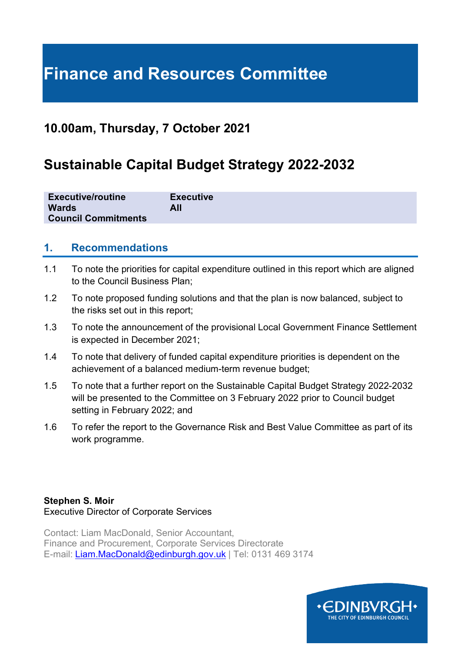# **Finance and Resources Committee**

## **10.00am, Thursday, 7 October 2021**

## **Sustainable Capital Budget Strategy 2022-2032**

| <b>Executive/routine</b>   | <b>Executive</b> |
|----------------------------|------------------|
| <b>Wards</b>               | All              |
| <b>Council Commitments</b> |                  |

#### **1. Recommendations**

- 1.1 To note the priorities for capital expenditure outlined in this report which are aligned to the Council Business Plan;
- 1.2 To note proposed funding solutions and that the plan is now balanced, subject to the risks set out in this report;
- 1.3 To note the announcement of the provisional Local Government Finance Settlement is expected in December 2021;
- 1.4 To note that delivery of funded capital expenditure priorities is dependent on the achievement of a balanced medium-term revenue budget;
- 1.5 To note that a further report on the Sustainable Capital Budget Strategy 2022-2032 will be presented to the Committee on 3 February 2022 prior to Council budget setting in February 2022; and
- 1.6 To refer the report to the Governance Risk and Best Value Committee as part of its work programme.

#### **Stephen S. Moir** Executive Director of Corporate Services

Contact: Liam MacDonald, Senior Accountant, Finance and Procurement, Corporate Services Directorate E-mail: [Liam.MacDonald@edinburgh.gov.uk](mailto:Liam.MacDonald@edinburgh.gov.uk) | Tel: 0131 469 3174

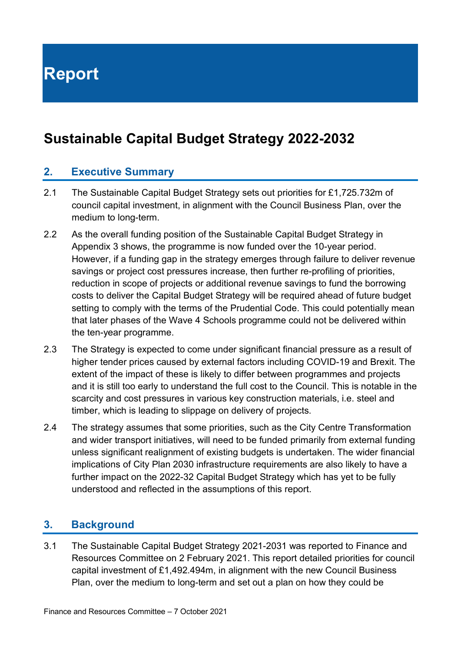**Report**

## **Sustainable Capital Budget Strategy 2022-2032**

#### **2. Executive Summary**

- 2.1 The Sustainable Capital Budget Strategy sets out priorities for £1,725.732m of council capital investment, in alignment with the Council Business Plan, over the medium to long-term.
- 2.2 As the overall funding position of the Sustainable Capital Budget Strategy in Appendix 3 shows, the programme is now funded over the 10-year period. However, if a funding gap in the strategy emerges through failure to deliver revenue savings or project cost pressures increase, then further re-profiling of priorities, reduction in scope of projects or additional revenue savings to fund the borrowing costs to deliver the Capital Budget Strategy will be required ahead of future budget setting to comply with the terms of the Prudential Code. This could potentially mean that later phases of the Wave 4 Schools programme could not be delivered within the ten-year programme.
- 2.3 The Strategy is expected to come under significant financial pressure as a result of higher tender prices caused by external factors including COVID-19 and Brexit. The extent of the impact of these is likely to differ between programmes and projects and it is still too early to understand the full cost to the Council. This is notable in the scarcity and cost pressures in various key construction materials, i.e. steel and timber, which is leading to slippage on delivery of projects.
- 2.4 The strategy assumes that some priorities, such as the City Centre Transformation and wider transport initiatives, will need to be funded primarily from external funding unless significant realignment of existing budgets is undertaken. The wider financial implications of City Plan 2030 infrastructure requirements are also likely to have a further impact on the 2022-32 Capital Budget Strategy which has yet to be fully understood and reflected in the assumptions of this report.

#### **3. Background**

3.1 The Sustainable Capital Budget Strategy 2021-2031 was reported to Finance and Resources Committee on 2 February 2021. This report detailed priorities for council capital investment of £1,492.494m, in alignment with the new Council Business Plan, over the medium to long-term and set out a plan on how they could be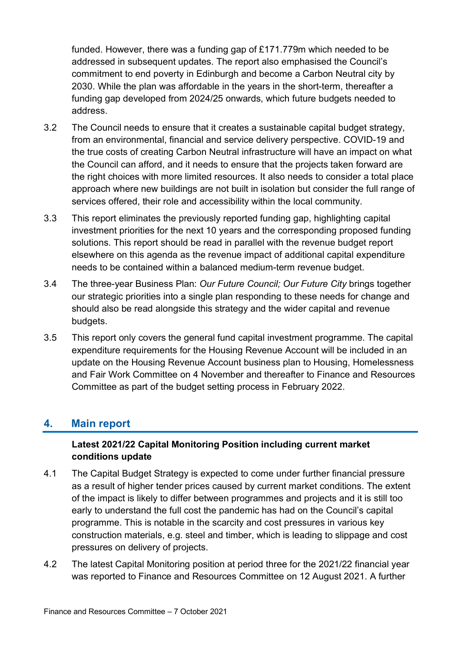funded. However, there was a funding gap of £171.779m which needed to be addressed in subsequent updates. The report also emphasised the Council's commitment to end poverty in Edinburgh and become a Carbon Neutral city by 2030. While the plan was affordable in the years in the short-term, thereafter a funding gap developed from 2024/25 onwards, which future budgets needed to address.

- 3.2 The Council needs to ensure that it creates a sustainable capital budget strategy, from an environmental, financial and service delivery perspective. COVID-19 and the true costs of creating Carbon Neutral infrastructure will have an impact on what the Council can afford, and it needs to ensure that the projects taken forward are the right choices with more limited resources. It also needs to consider a total place approach where new buildings are not built in isolation but consider the full range of services offered, their role and accessibility within the local community.
- 3.3 This report eliminates the previously reported funding gap, highlighting capital investment priorities for the next 10 years and the corresponding proposed funding solutions. This report should be read in parallel with the revenue budget report elsewhere on this agenda as the revenue impact of additional capital expenditure needs to be contained within a balanced medium-term revenue budget.
- 3.4 The three-year Business Plan: *Our Future Council; Our Future City* brings together our strategic priorities into a single plan responding to these needs for change and should also be read alongside this strategy and the wider capital and revenue budgets.
- 3.5 This report only covers the general fund capital investment programme. The capital expenditure requirements for the Housing Revenue Account will be included in an update on the Housing Revenue Account business plan to Housing, Homelessness and Fair Work Committee on 4 November and thereafter to Finance and Resources Committee as part of the budget setting process in February 2022.

#### **4. Main report**

#### **Latest 2021/22 Capital Monitoring Position including current market conditions update**

- 4.1 The Capital Budget Strategy is expected to come under further financial pressure as a result of higher tender prices caused by current market conditions. The extent of the impact is likely to differ between programmes and projects and it is still too early to understand the full cost the pandemic has had on the Council's capital programme. This is notable in the scarcity and cost pressures in various key construction materials, e.g. steel and timber, which is leading to slippage and cost pressures on delivery of projects.
- 4.2 The latest Capital Monitoring position at period three for the 2021/22 financial year was reported to Finance and Resources Committee on 12 August 2021. A further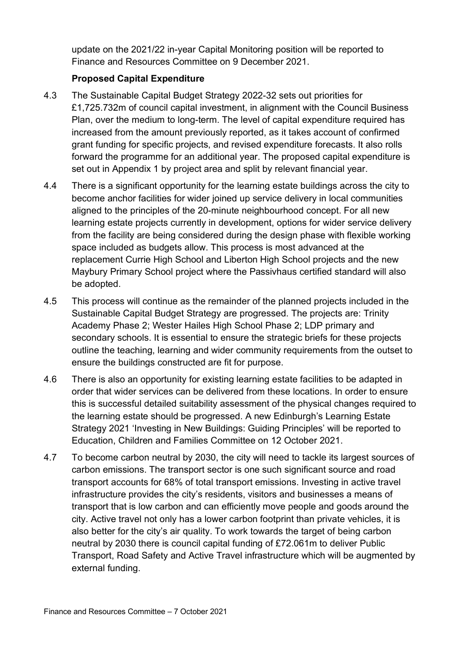update on the 2021/22 in-year Capital Monitoring position will be reported to Finance and Resources Committee on 9 December 2021.

#### **Proposed Capital Expenditure**

- 4.3 The Sustainable Capital Budget Strategy 2022-32 sets out priorities for £1,725.732m of council capital investment, in alignment with the Council Business Plan, over the medium to long-term. The level of capital expenditure required has increased from the amount previously reported, as it takes account of confirmed grant funding for specific projects, and revised expenditure forecasts. It also rolls forward the programme for an additional year. The proposed capital expenditure is set out in Appendix 1 by project area and split by relevant financial year.
- 4.4 There is a significant opportunity for the learning estate buildings across the city to become anchor facilities for wider joined up service delivery in local communities aligned to the principles of the 20-minute neighbourhood concept. For all new learning estate projects currently in development, options for wider service delivery from the facility are being considered during the design phase with flexible working space included as budgets allow. This process is most advanced at the replacement Currie High School and Liberton High School projects and the new Maybury Primary School project where the Passivhaus certified standard will also be adopted.
- 4.5 This process will continue as the remainder of the planned projects included in the Sustainable Capital Budget Strategy are progressed. The projects are: Trinity Academy Phase 2; Wester Hailes High School Phase 2; LDP primary and secondary schools. It is essential to ensure the strategic briefs for these projects outline the teaching, learning and wider community requirements from the outset to ensure the buildings constructed are fit for purpose.
- 4.6 There is also an opportunity for existing learning estate facilities to be adapted in order that wider services can be delivered from these locations. In order to ensure this is successful detailed suitability assessment of the physical changes required to the learning estate should be progressed. A new Edinburgh's Learning Estate Strategy 2021 'Investing in New Buildings: Guiding Principles' will be reported to Education, Children and Families Committee on 12 October 2021.
- 4.7 To become carbon neutral by 2030, the city will need to tackle its largest sources of carbon emissions. The transport sector is one such significant source and road transport accounts for 68% of total transport emissions. Investing in active travel infrastructure provides the city's residents, visitors and businesses a means of transport that is low carbon and can efficiently move people and goods around the city. Active travel not only has a lower carbon footprint than private vehicles, it is also better for the city's air quality. To work towards the target of being carbon neutral by 2030 there is council capital funding of £72.061m to deliver Public Transport, Road Safety and Active Travel infrastructure which will be augmented by external funding.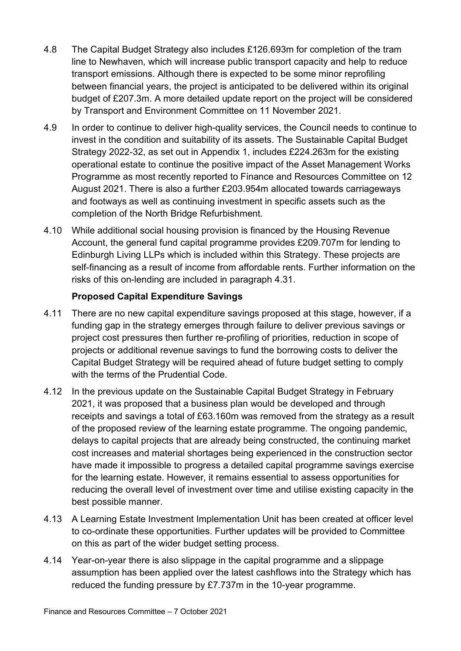- 4.8 The Capital Budget Strategy also includes £126.693m for completion of the tram line to Newhaven, which will increase public transport capacity and help to reduce transport emissions. Although there is expected to be some minor reprofiling between financial years, the project is anticipated to be delivered within its original budget of £207.3m. A more detailed update report on the project will be considered by Transport and Environment Committee on 11 November 2021.
- 4.9 In order to continue to deliver high-quality services, the Council needs to continue to invest in the condition and suitability of its assets. The Sustainable Capital Budget Strategy 2022-32, as set out in Appendix 1, includes £224.263m for the existing operational estate to continue the positive impact of the Asset Management Works Programme as most recently reported to Finance and Resources Committee on 12 August 2021. There is also a further £203.954m allocated towards carriageways and footways as well as continuing investment in specific assets such as the completion of the North Bridge Refurbishment.
- 4.10 While additional social housing provision is financed by the Housing Revenue Account, the general fund capital programme provides £209.707m for lending to Edinburgh Living LLPs which is included within this Strategy. These projects are self-financing as a result of income from affordable rents. Further information on the risks of this on-lending are included in paragraph 4.31.

#### **Proposed Capital Expenditure Savings**

- 4.11 There are no new capital expenditure savings proposed at this stage, however, if a funding gap in the strategy emerges through failure to deliver previous savings or project cost pressures then further re-profiling of priorities, reduction in scope of projects or additional revenue savings to fund the borrowing costs to deliver the Capital Budget Strategy will be required ahead of future budget setting to comply with the terms of the Prudential Code.
- 4.12 In the previous update on the Sustainable Capital Budget Strategy in February 2021, it was proposed that a business plan would be developed and through receipts and savings a total of £63.160m was removed from the strategy as a result of the proposed review of the learning estate programme. The ongoing pandemic, delays to capital projects that are already being constructed, the continuing market cost increases and material shortages being experienced in the construction sector have made it impossible to progress a detailed capital programme savings exercise for the learning estate. However, it remains essential to assess opportunities for reducing the overall level of investment over time and utilise existing capacity in the best possible manner.
- 4.13 A Learning Estate Investment Implementation Unit has been created at officer level to co-ordinate these opportunities. Further updates will be provided to Committee on this as part of the wider budget setting process.
- 4.14 Year-on-year there is also slippage in the capital programme and a slippage assumption has been applied over the latest cashflows into the Strategy which has reduced the funding pressure by £7.737m in the 10-year programme.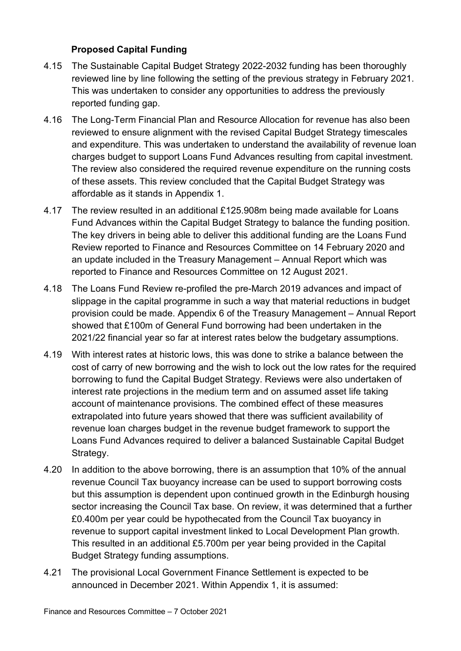#### **Proposed Capital Funding**

- 4.15 The Sustainable Capital Budget Strategy 2022-2032 funding has been thoroughly reviewed line by line following the setting of the previous strategy in February 2021. This was undertaken to consider any opportunities to address the previously reported funding gap.
- 4.16 The Long-Term Financial Plan and Resource Allocation for revenue has also been reviewed to ensure alignment with the revised Capital Budget Strategy timescales and expenditure. This was undertaken to understand the availability of revenue loan charges budget to support Loans Fund Advances resulting from capital investment. The review also considered the required revenue expenditure on the running costs of these assets. This review concluded that the Capital Budget Strategy was affordable as it stands in Appendix 1.
- 4.17 The review resulted in an additional £125.908m being made available for Loans Fund Advances within the Capital Budget Strategy to balance the funding position. The key drivers in being able to deliver this additional funding are the Loans Fund Review reported to Finance and Resources Committee on 14 February 2020 and an update included in the Treasury Management – Annual Report which was reported to Finance and Resources Committee on 12 August 2021.
- 4.18 The Loans Fund Review re-profiled the pre-March 2019 advances and impact of slippage in the capital programme in such a way that material reductions in budget provision could be made. Appendix 6 of the Treasury Management – Annual Report showed that £100m of General Fund borrowing had been undertaken in the 2021/22 financial year so far at interest rates below the budgetary assumptions.
- 4.19 With interest rates at historic lows, this was done to strike a balance between the cost of carry of new borrowing and the wish to lock out the low rates for the required borrowing to fund the Capital Budget Strategy. Reviews were also undertaken of interest rate projections in the medium term and on assumed asset life taking account of maintenance provisions. The combined effect of these measures extrapolated into future years showed that there was sufficient availability of revenue loan charges budget in the revenue budget framework to support the Loans Fund Advances required to deliver a balanced Sustainable Capital Budget Strategy.
- 4.20 In addition to the above borrowing, there is an assumption that 10% of the annual revenue Council Tax buoyancy increase can be used to support borrowing costs but this assumption is dependent upon continued growth in the Edinburgh housing sector increasing the Council Tax base. On review, it was determined that a further £0.400m per year could be hypothecated from the Council Tax buoyancy in revenue to support capital investment linked to Local Development Plan growth. This resulted in an additional £5.700m per year being provided in the Capital Budget Strategy funding assumptions.
- 4.21 The provisional Local Government Finance Settlement is expected to be announced in December 2021. Within Appendix 1, it is assumed: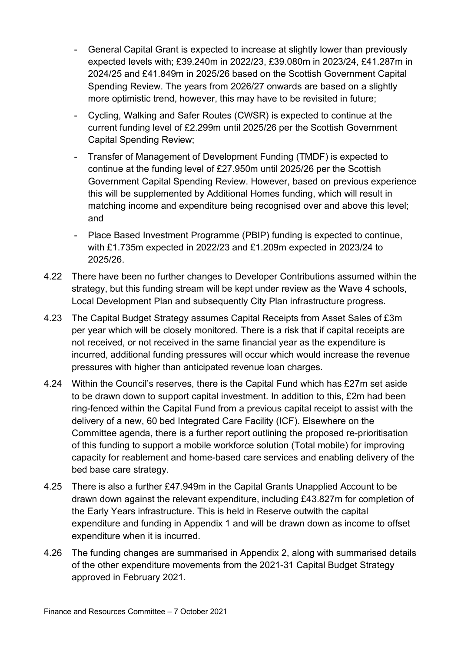- General Capital Grant is expected to increase at slightly lower than previously expected levels with; £39.240m in 2022/23, £39.080m in 2023/24, £41.287m in 2024/25 and £41.849m in 2025/26 based on the Scottish Government Capital Spending Review. The years from 2026/27 onwards are based on a slightly more optimistic trend, however, this may have to be revisited in future;
- Cycling, Walking and Safer Routes (CWSR) is expected to continue at the current funding level of £2.299m until 2025/26 per the Scottish Government Capital Spending Review;
- Transfer of Management of Development Funding (TMDF) is expected to continue at the funding level of £27.950m until 2025/26 per the Scottish Government Capital Spending Review. However, based on previous experience this will be supplemented by Additional Homes funding, which will result in matching income and expenditure being recognised over and above this level; and
- Place Based Investment Programme (PBIP) funding is expected to continue, with £1.735m expected in 2022/23 and £1.209m expected in 2023/24 to 2025/26.
- 4.22 There have been no further changes to Developer Contributions assumed within the strategy, but this funding stream will be kept under review as the Wave 4 schools, Local Development Plan and subsequently City Plan infrastructure progress.
- 4.23 The Capital Budget Strategy assumes Capital Receipts from Asset Sales of £3m per year which will be closely monitored. There is a risk that if capital receipts are not received, or not received in the same financial year as the expenditure is incurred, additional funding pressures will occur which would increase the revenue pressures with higher than anticipated revenue loan charges.
- 4.24 Within the Council's reserves, there is the Capital Fund which has £27m set aside to be drawn down to support capital investment. In addition to this, £2m had been ring-fenced within the Capital Fund from a previous capital receipt to assist with the delivery of a new, 60 bed Integrated Care Facility (ICF). Elsewhere on the Committee agenda, there is a further report outlining the proposed re-prioritisation of this funding to support a mobile workforce solution (Total mobile) for improving capacity for reablement and home-based care services and enabling delivery of the bed base care strategy.
- 4.25 There is also a further £47.949m in the Capital Grants Unapplied Account to be drawn down against the relevant expenditure, including £43.827m for completion of the Early Years infrastructure. This is held in Reserve outwith the capital expenditure and funding in Appendix 1 and will be drawn down as income to offset expenditure when it is incurred.
- 4.26 The funding changes are summarised in Appendix 2, along with summarised details of the other expenditure movements from the 2021-31 Capital Budget Strategy approved in February 2021.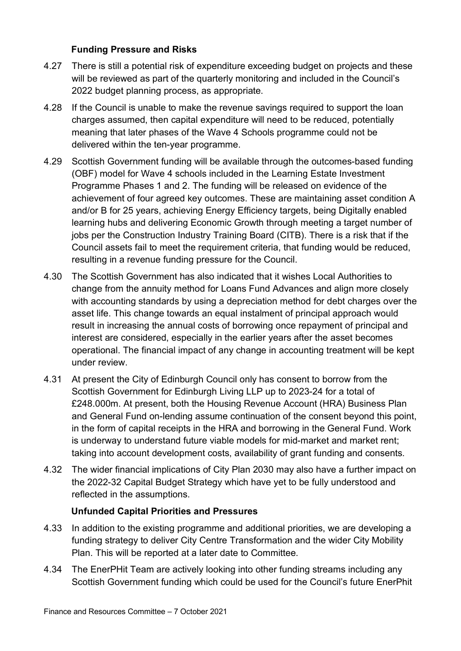#### **Funding Pressure and Risks**

- 4.27 There is still a potential risk of expenditure exceeding budget on projects and these will be reviewed as part of the quarterly monitoring and included in the Council's 2022 budget planning process, as appropriate.
- 4.28 If the Council is unable to make the revenue savings required to support the loan charges assumed, then capital expenditure will need to be reduced, potentially meaning that later phases of the Wave 4 Schools programme could not be delivered within the ten-year programme.
- 4.29 Scottish Government funding will be available through the outcomes-based funding (OBF) model for Wave 4 schools included in the Learning Estate Investment Programme Phases 1 and 2. The funding will be released on evidence of the achievement of four agreed key outcomes. These are maintaining asset condition A and/or B for 25 years, achieving Energy Efficiency targets, being Digitally enabled learning hubs and delivering Economic Growth through meeting a target number of jobs per the Construction Industry Training Board (CITB). There is a risk that if the Council assets fail to meet the requirement criteria, that funding would be reduced, resulting in a revenue funding pressure for the Council.
- 4.30 The Scottish Government has also indicated that it wishes Local Authorities to change from the annuity method for Loans Fund Advances and align more closely with accounting standards by using a depreciation method for debt charges over the asset life. This change towards an equal instalment of principal approach would result in increasing the annual costs of borrowing once repayment of principal and interest are considered, especially in the earlier years after the asset becomes operational. The financial impact of any change in accounting treatment will be kept under review.
- 4.31 At present the City of Edinburgh Council only has consent to borrow from the Scottish Government for Edinburgh Living LLP up to 2023-24 for a total of £248.000m. At present, both the Housing Revenue Account (HRA) Business Plan and General Fund on-lending assume continuation of the consent beyond this point, in the form of capital receipts in the HRA and borrowing in the General Fund. Work is underway to understand future viable models for mid-market and market rent; taking into account development costs, availability of grant funding and consents.
- 4.32 The wider financial implications of City Plan 2030 may also have a further impact on the 2022-32 Capital Budget Strategy which have yet to be fully understood and reflected in the assumptions.

#### **Unfunded Capital Priorities and Pressures**

- 4.33 In addition to the existing programme and additional priorities, we are developing a funding strategy to deliver City Centre Transformation and the wider City Mobility Plan. This will be reported at a later date to Committee.
- 4.34 The EnerPHit Team are actively looking into other funding streams including any Scottish Government funding which could be used for the Council's future EnerPhit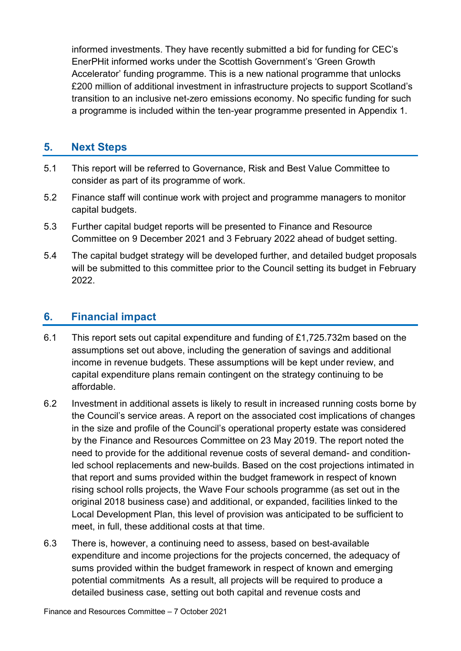informed investments. They have recently submitted a bid for funding for CEC's EnerPHit informed works under the Scottish Government's 'Green Growth Accelerator' funding programme. This is a new national programme that unlocks £200 million of additional investment in infrastructure projects to support Scotland's transition to an inclusive net-zero emissions economy. No specific funding for such a programme is included within the ten-year programme presented in Appendix 1.

### **5. Next Steps**

- 5.1 This report will be referred to Governance, Risk and Best Value Committee to consider as part of its programme of work.
- 5.2 Finance staff will continue work with project and programme managers to monitor capital budgets.
- 5.3 Further capital budget reports will be presented to Finance and Resource Committee on 9 December 2021 and 3 February 2022 ahead of budget setting.
- 5.4 The capital budget strategy will be developed further, and detailed budget proposals will be submitted to this committee prior to the Council setting its budget in February 2022.

#### **6. Financial impact**

- 6.1 This report sets out capital expenditure and funding of £1,725.732m based on the assumptions set out above, including the generation of savings and additional income in revenue budgets. These assumptions will be kept under review, and capital expenditure plans remain contingent on the strategy continuing to be affordable.
- 6.2 Investment in additional assets is likely to result in increased running costs borne by the Council's service areas. A report on the associated cost implications of changes in the size and profile of the Council's operational property estate was considered by the Finance and Resources Committee on 23 May 2019. The report noted the need to provide for the additional revenue costs of several demand- and conditionled school replacements and new-builds. Based on the cost projections intimated in that report and sums provided within the budget framework in respect of known rising school rolls projects, the Wave Four schools programme (as set out in the original 2018 business case) and additional, or expanded, facilities linked to the Local Development Plan, this level of provision was anticipated to be sufficient to meet, in full, these additional costs at that time.
- 6.3 There is, however, a continuing need to assess, based on best-available expenditure and income projections for the projects concerned, the adequacy of sums provided within the budget framework in respect of known and emerging potential commitments As a result, all projects will be required to produce a detailed business case, setting out both capital and revenue costs and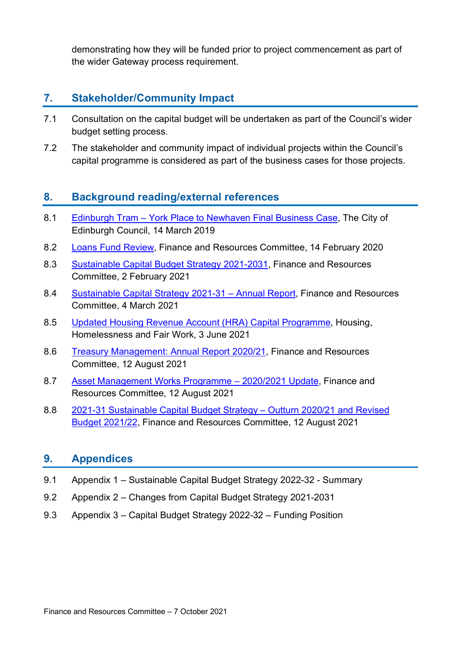demonstrating how they will be funded prior to project commencement as part of the wider Gateway process requirement.

## **7. Stakeholder/Community Impact**

- 7.1 Consultation on the capital budget will be undertaken as part of the Council's wider budget setting process.
- 7.2 The stakeholder and community impact of individual projects within the Council's capital programme is considered as part of the business cases for those projects.

### **8. Background reading/external references**

- 8.1 Edinburgh Tram [York Place to Newhaven Final Business Case,](http://www.edinburgh.gov.uk/download/meetings/id/60285/item_81_-_edinburgh_tram_%E2%80%93_york_place_to_newhaven_final_business_case_-_referral_from_the_transport_and_environment_committeepdf) The City of Edinburgh Council, 14 March 2019
- 8.2 [Loans Fund Review,](https://democracy.edinburgh.gov.uk/documents/s13864/Item%207.5%20-%20Loans%20Fund%20Review.pdf) Finance and Resources Committee, 14 February 2020
- 8.3 [Sustainable Capital Budget Strategy 2021-2031,](https://democracy.edinburgh.gov.uk/documents/s30976/7.3%20-%20Sustainable%20Capital%20Budget%20Strategy%202021-2031.pdf) Finance and Resources Committee, 2 February 2021
- 8.4 [Sustainable Capital Strategy 2021-31 –](https://democracy.edinburgh.gov.uk/documents/s32033/7.1%20-%20Sustainable%20Capital%20Strategy%202021-31%20Annual%20Report.pdf) Annual Report, Finance and Resources Committee, 4 March 2021
- 8.5 [Updated Housing Revenue Account \(HRA\)](https://democracy.edinburgh.gov.uk/documents/s34447/7.5%20-%20Updated%20Housing%20Revenue%20Account%20HRA%20Capital%20Programme.pdf) Capital Programme, Housing, Homelessness and Fair Work, 3 June 2021
- 8.6 [Treasury Management: Annual Report 2020/21,](https://democracy.edinburgh.gov.uk/documents/s35954/Item%207.6%20-%20Treasury%20Management%20-%20Annual%20Report%202020-21.pdf) Finance and Resources Committee, 12 August 2021
- 8.7 [Asset Management Works Programme –](https://democracy.edinburgh.gov.uk/documents/s35975/Item%207.13%20-%20Asset%20Management%20Works%20Programme%202020-21%20Update.pdf) 2020/2021 Update, Finance and Resources Committee, 12 August 2021
- 8.8 [2021-31 Sustainable Capital Budget Strategy –](https://democracy.edinburgh.gov.uk/documents/s35949/Item%207.1%20-%202021-31%20Sustainable%20Capital%20Budget%20Strategy%20Outturn%202020-21%20and%20Revised%20Budget%202021-22.pdf) Outturn 2020/21 and Revised [Budget 2021/22,](https://democracy.edinburgh.gov.uk/documents/s35949/Item%207.1%20-%202021-31%20Sustainable%20Capital%20Budget%20Strategy%20Outturn%202020-21%20and%20Revised%20Budget%202021-22.pdf) Finance and Resources Committee, 12 August 2021

#### **9. Appendices**

- 9.1 Appendix 1 Sustainable Capital Budget Strategy 2022-32 Summary
- 9.2 Appendix 2 Changes from Capital Budget Strategy 2021-2031
- 9.3 Appendix 3 Capital Budget Strategy 2022-32 Funding Position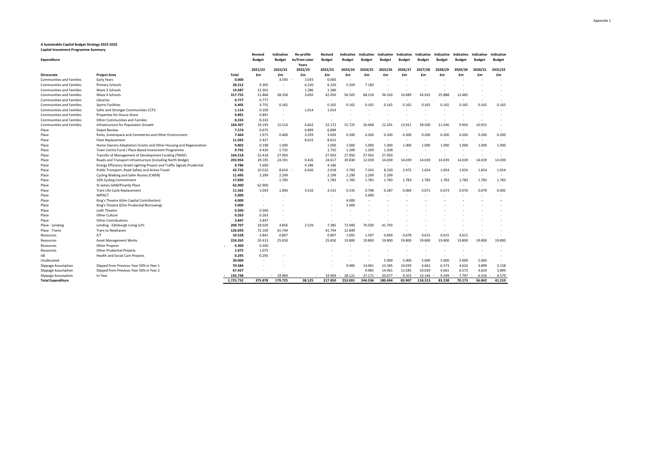#### **A Sustainable Capital Budget Strategy 2022-2032**

**Capital Investment Programme Summary**

| <b>Expenditure</b>              |                                                                          |              | Revised<br><b>Budget</b> | Indicative<br><b>Budget</b> | <b>Re-profile</b><br>to/from Later<br>Years | Revised<br><b>Budget</b> | Indicative<br><b>Budget</b> | Indicative<br><b>Budget</b> | Indicative<br><b>Budget</b> | Indicative<br><b>Budget</b> | Indicative<br><b>Budget</b> | Indicative<br><b>Budget</b> | Indicative<br><b>Budget</b> | Indicative<br><b>Budget</b> | Indicative<br><b>Budget</b> |
|---------------------------------|--------------------------------------------------------------------------|--------------|--------------------------|-----------------------------|---------------------------------------------|--------------------------|-----------------------------|-----------------------------|-----------------------------|-----------------------------|-----------------------------|-----------------------------|-----------------------------|-----------------------------|-----------------------------|
|                                 |                                                                          |              | 2021/22                  | 2022/23                     | 2022/23                                     | 2022/23                  | 2023/24                     | 2024/25                     | 2025/26                     | 2026/27                     | 2027/28                     | 2028/29                     | 2029/30                     | 2030/31                     | 2031/32                     |
| <b>Direcorate</b>               | <b>Project Area</b>                                                      | <b>Total</b> | £m                       | £m                          | £m                                          | £m                       | £m                          | £m                          | £m                          | £m                          | £m                          | £m                          | £m                          | £m                          | £m                          |
| <b>Communities and Families</b> | Early Years                                                              | 0.000        | $\sim$                   | 3.593                       | 3.593                                       | 0.000                    | ٠                           | $\overline{\phantom{a}}$    |                             |                             |                             |                             |                             |                             |                             |
| <b>Communities and Families</b> | <b>Primary Schools</b>                                                   | 28.212       | 9.305                    |                             | 6.220                                       | 6.220                    | 5.504                       | 7.183                       |                             |                             |                             |                             |                             |                             |                             |
| <b>Communities and Families</b> | Wave 3 Schools                                                           | 14.587       | 13.301                   | $\sim$                      | 1.286                                       | 1.286                    | $\sim$                      | $\overline{\phantom{a}}$    |                             |                             |                             |                             |                             |                             |                             |
| <b>Communities and Families</b> | Wave 4 Schools                                                           | 317.755      | 21.868                   | 38.358                      | 3.692                                       | 42.050                   | 56.505                      | 68.218                      | 36.320                      | 10.489                      | 43.932                      | 25.888                      | 12.485                      |                             |                             |
| <b>Communities and Families</b> | Libraries                                                                | 0.777        | 0.777                    | ٠                           |                                             | ٠                        | ٠                           | ٠                           |                             | $\overline{\phantom{a}}$    |                             |                             |                             |                             |                             |
| Communities and Families        | <b>Sports Facilities</b>                                                 | 6.405        | 4.755                    | 0.165                       |                                             | 0.165                    | 0.165                       | 0.165                       | 0.165                       | 0.165                       | 0.165                       | 0.165                       | 0.165                       | 0.165                       | 0.165                       |
| <b>Communities and Families</b> | Safer and Stronger Communities CCTV                                      | 1.114        | 0.100                    | $\overline{\phantom{a}}$    | 1.014                                       | 1.014                    |                             |                             |                             |                             |                             |                             |                             |                             |                             |
| <b>Communities and Families</b> | Properties for House Share                                               | 0.891        | 0.891                    | ٠                           |                                             |                          |                             |                             |                             |                             |                             |                             |                             |                             |                             |
| <b>Communities and Families</b> | Other Communities and Families                                           | 8.333        | 8.333                    | $\overline{\phantom{a}}$    |                                             | ٠                        |                             |                             |                             |                             |                             |                             |                             |                             |                             |
| <b>Communities and Families</b> | Infrastructure for Population Growth                                     | 164.367      | 19.193                   | 15.510                      | 6.662                                       | 22.172                   | 15.725                      | 20.668                      | 12.291                      | 13.911                      | 28.500                      | 11.036                      | 9.956                       | 10.915                      |                             |
| Place                           | Depot Review                                                             | 7.574        | 0.675                    | $\sim$                      | 6.899                                       | 6.899                    | ÷,                          | $\overline{\phantom{a}}$    |                             |                             |                             | $\overline{\phantom{a}}$    |                             |                             |                             |
| Place                           | Parks, Greenspace and Cemeteries and Other Environment                   | 7.464        | 1.971                    | 0.400                       | 3.293                                       | 3.693                    | 0.200                       | 0.200                       | 0.200                       | 0.200                       | 0.200                       | 0.200                       | 0.200                       | 0.200                       | 0.200                       |
| Place                           | <b>Fleet Replacement</b>                                                 | 11.042       | 2.427                    | $\sim$                      | 8.615                                       | 8.615                    | $\sim$                      | $\overline{\phantom{a}}$    | ٠                           |                             |                             |                             |                             |                             |                             |
| Place                           | Home Owners Adaptation Grants and Other Housing and Regeneration         | 9.802        | 0.198                    | 1.000                       |                                             | 1.000                    | 1.000                       | 1.000                       | 1.000                       | 1.000                       | 1.000                       | 1.000                       | 1.000                       | 1.000                       | 1.000                       |
| Place                           | Town Centre Fund / Place Based Investment Programme                      | 9.792        | 4.430                    | 1.735                       |                                             | 1.735                    | 1.209                       | 1.209                       | 1.209                       |                             |                             |                             |                             |                             |                             |
| Place                           | Transfer of Management of Development Funding (TMDF)                     | 164.218      | 52.418                   | 27.950                      |                                             | 27.950                   | 27.950                      | 27.950                      | 27.950                      | $\overline{\phantom{a}}$    |                             |                             |                             | $\overline{\phantom{a}}$    | $\overline{\phantom{a}}$    |
| Place                           | Roads and Transport Infrastructure (including North Bridge)              | 203.954      | 29.195                   | 24.191                      | 0.426                                       | 24.617                   | 39.830                      | 12.039                      | 14.039                      | 14.039                      | 14.039                      | 14.039                      | 14.039                      | 14.039                      | 14.039                      |
| Place                           | Energy Efficiency Street Lighting Project and Traffic Signals Prudential | 9.786        | 5.600                    |                             | 4.186                                       | 4.186                    | ٠                           | $\sim$                      | $\overline{\phantom{a}}$    | ٠                           |                             |                             |                             |                             |                             |
| Place                           | Public Transport, Road Safety and Active Travel                          | 42.736       | 10.532                   | 8.654                       | 6.636                                       | 2.018                    | 3.783                       | 7.343                       | 8.320                       | 2.472                       | 1.654                       | 1.654                       | 1.654                       | 1.654                       | 1.654                       |
| Place                           | Cycling Walking and Safer Routes (CWSR)                                  | 11.495       | 2.299                    | 2.299                       |                                             | 2.299                    | 2.299                       | 2.299                       | 2.299                       | $\overline{\phantom{a}}$    |                             |                             |                             |                             |                             |
| Place                           | 10% Cycling Commitment                                                   | 17.830       | $\sim$                   | 1.783                       |                                             | 1.783                    | 1.783                       | 1.783                       | 1.783                       | 1.783                       | 1.783                       | 1.783                       | 1.783                       | 1.783                       | 1.783                       |
| Place                           | St James GAM/Picardy Place                                               | 62.900       | 62.900                   | ٠                           |                                             | $\sim$                   | ٠                           | $\sim$                      | $\sim$                      | $\sim$                      | $\sim$                      | $\overline{\phantom{a}}$    | ٠                           | $\overline{\phantom{a}}$    | $\sim$                      |
| Place                           | Tram Life Cycle Replacement                                              | 11.565       | 5.043                    | 1.000                       | 3.532                                       | 4.532                    | 0.535                       | 0.708                       | 0.287                       | 0.069                       | 0.071                       | 0.073                       | 0.076                       | 0.079                       | 0.092                       |
| Place                           | <b>IMPACT</b>                                                            | 5.000        |                          |                             |                                             |                          | ٠                           | 5.000                       |                             |                             |                             |                             |                             |                             |                             |
| Place                           | King's Theatre (£4m Capital Contribution)                                | 4.000        |                          |                             |                                             |                          | 4.000                       |                             |                             |                             |                             |                             |                             |                             |                             |
| Place                           | King's Theatre (£5m Prudential Borrowing)                                | 5.000        | $\sim$                   |                             |                                             |                          | 5.000                       |                             |                             |                             |                             |                             |                             |                             |                             |
| Place                           | Leith Theatre                                                            | 0.500        | 0.500                    |                             |                                             |                          |                             |                             |                             |                             |                             |                             |                             |                             |                             |
| Place                           | Other Culture                                                            | 0.263        | 0.263                    |                             |                                             |                          |                             |                             |                             |                             |                             |                             |                             |                             |                             |
| Place                           | <b>Other Contributions</b>                                               | 3.847        | 3.847                    | ٠                           |                                             |                          |                             |                             |                             |                             |                             |                             |                             |                             |                             |
| Place - Lending                 | Lending - Edinburgh Living LLPs                                          | 209.707      | 18.029                   | 4.856                       | 2.529                                       | 7.385                    | 72,000                      | 70,500                      | 41.793                      |                             |                             |                             |                             |                             |                             |
| Place - Trams                   | Tram to Newhaven                                                         | 126.693      | 72.100                   | 41.744                      |                                             | 41.744                   | 12.849                      | $\overline{\phantom{a}}$    | ٠                           |                             |                             |                             |                             |                             |                             |
| Resources                       | ICT                                                                      | 10.528       | 3.841                    | 0.807                       |                                             | 0.807                    | 1.091                       | 1.597                       | 0.669                       | 0.678                       | 0.615                       | 0.615                       | 0.615                       |                             |                             |
| Resources                       | <b>Asset Management Works</b>                                            | 224.263      | 20.413                   | 25.650                      |                                             | 25.650                   | 19.800                      | 19.800                      | 19.800                      | 19.800                      | 19.800                      | 19.800                      | 19.800                      | 19.800                      | 19.800                      |
| Resources                       | <b>Other Projects</b>                                                    | 0.300        | 0.300                    |                             |                                             |                          |                             |                             |                             |                             |                             |                             |                             |                             |                             |
| Resources                       | <b>Other Prudential Projects</b>                                         | 1.075        | 1.075                    |                             |                                             |                          |                             |                             |                             |                             |                             |                             | $\sim$                      |                             | $\overline{\phantom{a}}$    |
| <b>IJB</b>                      | <b>Health and Social Care Projects</b>                                   | 0.295        | 0.295                    |                             |                                             |                          |                             |                             |                             |                             |                             |                             |                             |                             |                             |
| Unallocated                     |                                                                          | 30.000       |                          |                             |                                             |                          |                             |                             | 5.000                       | 5.000                       | 5.000                       | 5.000                       | 5.000                       | 5.000                       | $\sim$                      |
| Slippage Assumption             | Slipped from Previous Year 50% in Year 1                                 | 70.584       |                          |                             |                                             |                          | 9.985                       | 14.061                      | 13.585                      | 10.039                      | 4.661                       | 6.573                       | 4.624                       | 3.899                       | 3.158                       |
| Slippage Assumption             | Slipped from Previous Year 50% in Year 2                                 | 67.427       |                          |                             |                                             |                          |                             | 9.985                       | 14.061                      | 13.585                      | 10.039                      | 4.661                       | 6.573                       | 4.624                       | 3.899                       |
| Slippage Assumption             | In-Year                                                                  | 145.748      |                          | 19.969<br>$\sim$            |                                             | 19.969                   | 28.121                      | 27.171                      | 20,077                      | 9.323                       | 13.146                      | 9.249                       | 7.797                       | 6.316                       | 4.579                       |
| <b>Total Expenditure</b>        |                                                                          | 1.725.732    | 375.878                  | 179.725                     | 38.125                                      | 217.850                  | 253.091                     | 244.536                     | 180.694                     | 83.907                      | 118.313                     | 83.238                      | 70.173                      | 56.842                      | 41.210                      |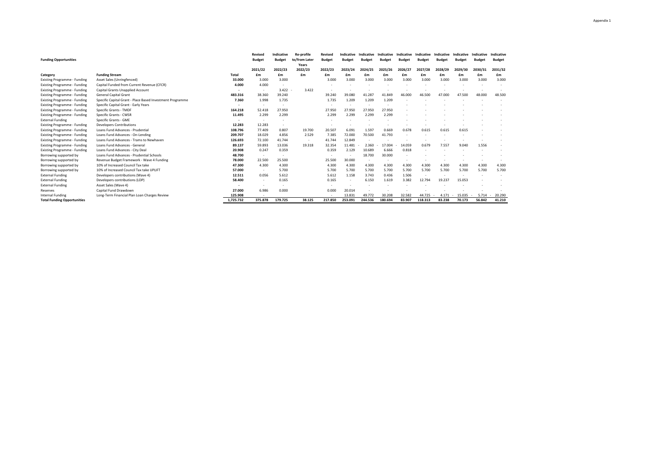| <b>Funding Opportunities</b>        |                                                           |           | Revised<br><b>Budget</b> | Indicative<br><b>Budget</b> | <b>Re-profile</b><br>to/from Later<br>Years | Revised<br><b>Budget</b> | Indicative<br><b>Budget</b> | Indicative<br><b>Budget</b> | Indicative<br><b>Budget</b> | Indicative<br><b>Budget</b> | Indicative<br><b>Budget</b> | Indicative<br><b>Budget</b> | Indicative<br><b>Budget</b> | Indicative<br><b>Budget</b> | Indicative<br><b>Budget</b> |
|-------------------------------------|-----------------------------------------------------------|-----------|--------------------------|-----------------------------|---------------------------------------------|--------------------------|-----------------------------|-----------------------------|-----------------------------|-----------------------------|-----------------------------|-----------------------------|-----------------------------|-----------------------------|-----------------------------|
|                                     |                                                           |           | 2021/22                  | 2022/23                     | 2022/23                                     | 2022/23                  | 2023/24                     | 2024/25                     | 2025/26                     | 2026/27                     | 2027/28                     | 2028/29                     | 2029/30                     | 2030/31                     | 2031/32                     |
| Category                            | <b>Funding Stream</b>                                     | Total     | £m                       | £m                          | £m                                          | £m                       | £m                          | £m                          | £m                          | £m                          | £m                          | £m                          | £m                          | £m                          | £m                          |
| <b>Existing Programme - Funding</b> | Asset Sales (Unringfenced)                                | 33.000    | 3.000                    | 3.000                       |                                             | 3.000                    | 3.000                       | 3.000                       | 3.000                       | 3.000                       | 3,000                       | 3,000                       | 3.000                       | 3,000                       | 3,000                       |
| <b>Existing Programme - Funding</b> | Capital Funded from Current Revenue (CFCR)                | 4.000     | 4.000                    |                             |                                             |                          |                             |                             |                             |                             |                             |                             |                             |                             |                             |
| <b>Existing Programme - Funding</b> | Capital Grants Unapplied Account                          |           |                          | 3.422                       | 3.422                                       |                          |                             |                             |                             |                             |                             |                             |                             |                             |                             |
| <b>Existing Programme - Funding</b> | <b>General Capital Grant</b>                              | 483.316   | 38.360                   | 39,240                      |                                             | 39,240                   | 39,080                      | 41.287                      | 41.849                      | 46.000                      | 46.500                      | 47,000                      | 47.500                      | 48,000                      | 48,500                      |
| <b>Existing Programme - Funding</b> | Specific Capital Grant - Place Based Investment Programme | 7.360     | 1.998                    | 1.735                       |                                             | 1.735                    | 1.209                       | 1.209                       | 1.209                       |                             |                             |                             |                             |                             |                             |
| <b>Existing Programme - Funding</b> | Specific Capital Grant - Early Years                      |           |                          |                             |                                             |                          |                             |                             |                             |                             |                             |                             |                             |                             |                             |
| <b>Existing Programme - Funding</b> | Specific Grants - TMDF                                    | 164.218   | 52.418                   | 27.950                      |                                             | 27.950                   | 27.950                      | 27.950                      | 27.950                      |                             |                             |                             |                             |                             |                             |
| <b>Existing Programme - Funding</b> | Specific Grants - CWSR                                    | 11.495    | 2.299                    | 2.299                       |                                             | 2.299                    | 2.299                       | 2.299                       | 2.299                       |                             |                             |                             |                             |                             |                             |
| <b>External Funding</b>             | Specific Grants - GME                                     |           |                          |                             |                                             |                          |                             |                             |                             |                             |                             |                             |                             |                             |                             |
| <b>Existing Programme - Funding</b> | <b>Developers Contributions</b>                           | 12.283    | 12.283                   |                             |                                             |                          |                             |                             |                             |                             |                             |                             |                             |                             |                             |
| <b>Existing Programme - Funding</b> | Loans Fund Advances - Prudential                          | 108.796   | 77,409                   | 0.807                       | 19.700                                      | 20.507                   | 6.091                       | 1.597                       | 0.669                       | 0.678                       | 0.615                       | 0.615                       | 0.615                       |                             |                             |
| <b>Existing Programme - Funding</b> | Loans Fund Advances - On-Lending                          | 209.707   | 18.029                   | 4.856                       | 2.529                                       | 7.385                    | 72,000                      | 70.500                      | 41.793                      | $\overline{\phantom{a}}$    |                             |                             |                             |                             |                             |
| <b>Existing Programme - Funding</b> | Loans Fund Advances - Trams to Newhaven                   | 126.693   | 72.100                   | 41.744                      | $\sim$                                      | 41.744                   | 12.849                      |                             |                             |                             |                             |                             |                             |                             |                             |
| <b>Existing Programme - Funding</b> | Loans Fund Advances - General                             | 89.137    | 59.893                   | 13.036                      | 19.318                                      | 32.354                   | 11.481                      | 2.360                       | 17.004                      | 14.059                      | 0.679                       | 7.557                       | 9.040                       | 1.556                       |                             |
| <b>Existing Programme - Funding</b> | Loans Fund Advances - City Deal                           | 20.908    | 0.247                    | 0.359                       |                                             | 0.359                    | 2.129                       | 10.689                      | 6.666                       | 0.818                       |                             |                             |                             |                             |                             |
| Borrowing supported by              | Loans Fund Advances - Prudential Schools                  | 48.700    | $\overline{\phantom{a}}$ |                             |                                             |                          |                             | 18.700                      | 30.000                      |                             |                             |                             |                             |                             |                             |
| Borrowing supported by              | Revenue Budget Framework - Wave 4 Funding                 | 78.000    | 22.500                   | 25,500                      |                                             | 25.500                   | 30,000                      | $\overline{\phantom{a}}$    |                             |                             |                             |                             |                             |                             |                             |
| Borrowing supported by              | 10% of Increased Council Tax take                         | 47.300    | 4.300                    | 4.300                       |                                             | 4.300                    | 4.300                       | 4.300                       | 4.300                       | 4.300                       | 4.300                       | 4.300                       | 4.300                       | 4.300                       | 4.300                       |
| Borrowing supported by              | 10% of Increased Council Tax take UPLIFT                  | 57.000    | $\overline{\phantom{a}}$ | 5.700                       |                                             | 5.700                    | 5.700                       | 5.700                       | 5.700                       | 5.700                       | 5.700                       | 5.700                       | 5.700                       | 5.700                       | 5.700                       |
| <b>External Funding</b>             | Developers contributions (Wave 4)                         | 12.511    | 0.056                    | 5.612                       |                                             | 5.612                    | 1.158                       | 3.743                       | 0.436                       | 1.506                       |                             |                             |                             |                             |                             |
| <b>External Funding</b>             | Developers contributions (LDP)                            | 58.400    |                          | 0.165                       |                                             | 0.165                    |                             | 6.150                       | 1.619                       | 3.382                       | 12.794                      | 19.237                      | 15.053                      |                             |                             |
| <b>External Funding</b>             | Asset Sales (Wave 4)                                      |           |                          |                             |                                             |                          |                             |                             |                             |                             |                             |                             |                             |                             |                             |
| Reserves                            | Capital Fund Drawdown                                     | 27.000    | 6.986                    | 0.000                       |                                             | 0.000                    | 20.014                      |                             |                             |                             |                             |                             |                             |                             |                             |
| Internal Funding                    | Long-Term Financial Plan Loan Charges Review              | 125.908   |                          |                             |                                             |                          | 13.831                      | 49.772                      | 30,208                      | 32.582                      | 44.725                      | 4.171                       | 15.035                      | 5.714                       | 20,290                      |
| <b>Total Funding Opportunities</b>  |                                                           | 1,725.732 | 375.878                  | 179.725                     | 38.125                                      | 217.850                  | 253.091                     | 244.536                     | 180.694                     | 83.907                      | 118.313                     | 83.238                      | 70.173                      | 56.842                      | 41.210                      |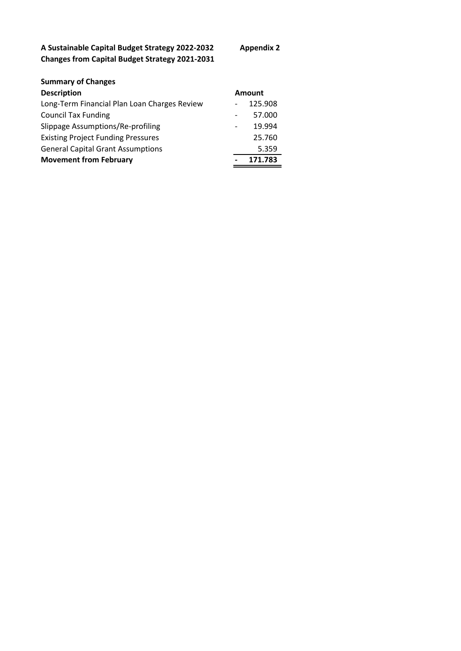**A Sustainable Capital Budget Strategy 2022-2032 Appendix 2 Changes from Capital Budget Strategy 2021-2031**

| <b>Summary of Changes</b>                    |               |  |  |  |  |
|----------------------------------------------|---------------|--|--|--|--|
| <b>Description</b>                           | <b>Amount</b> |  |  |  |  |
| Long-Term Financial Plan Loan Charges Review | 125.908       |  |  |  |  |
| <b>Council Tax Funding</b>                   | 57.000        |  |  |  |  |
| Slippage Assumptions/Re-profiling            | 19.994        |  |  |  |  |
| <b>Existing Project Funding Pressures</b>    | 25.760        |  |  |  |  |
| <b>General Capital Grant Assumptions</b>     | 5.359         |  |  |  |  |
| <b>Movement from February</b>                | 171.783       |  |  |  |  |
|                                              |               |  |  |  |  |